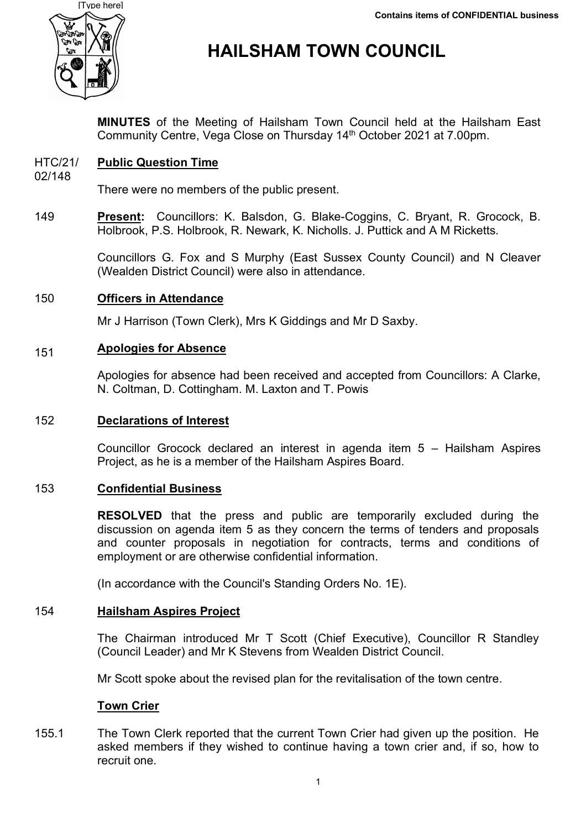

# **HAILSHAM TOWN COUNCIL**

**MINUTES** of the Meeting of Hailsham Town Council held at the Hailsham East Community Centre, Vega Close on Thursday 14<sup>th</sup> October 2021 at 7.00pm.

#### HTC/21/ **Public Question Time**

02/148

There were no members of the public present.

149 **Present:** Councillors: K. Balsdon, G. Blake-Coggins, C. Bryant, R. Grocock, B. Holbrook, P.S. Holbrook, R. Newark, K. Nicholls. J. Puttick and A M Ricketts.

> Councillors G. Fox and S Murphy (East Sussex County Council) and N Cleaver (Wealden District Council) were also in attendance.

#### 150 **Officers in Attendance**

Mr J Harrison (Town Clerk), Mrs K Giddings and Mr D Saxby.

#### 151 **Apologies for Absence**

Apologies for absence had been received and accepted from Councillors: A Clarke, N. Coltman, D. Cottingham. M. Laxton and T. Powis

# 152 **Declarations of Interest**

Councillor Grocock declared an interest in agenda item 5 – Hailsham Aspires Project, as he is a member of the Hailsham Aspires Board.

# 153 **Confidential Business**

**RESOLVED** that the press and public are temporarily excluded during the discussion on agenda item 5 as they concern the terms of tenders and proposals and counter proposals in negotiation for contracts, terms and conditions of employment or are otherwise confidential information.

(In accordance with the Council's Standing Orders No. 1E).

# 154 **Hailsham Aspires Project**

The Chairman introduced Mr T Scott (Chief Executive), Councillor R Standley (Council Leader) and Mr K Stevens from Wealden District Council.

Mr Scott spoke about the revised plan for the revitalisation of the town centre.

# **Town Crier**

155.1 The Town Clerk reported that the current Town Crier had given up the position. He asked members if they wished to continue having a town crier and, if so, how to recruit one.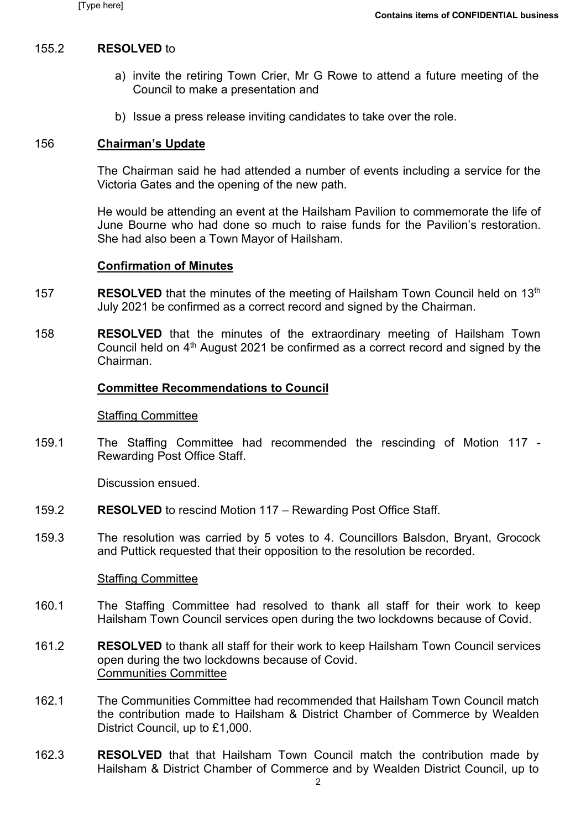### 155.2 **RESOLVED** to

- a) invite the retiring Town Crier, Mr G Rowe to attend a future meeting of the Council to make a presentation and
- b) Issue a press release inviting candidates to take over the role.

### 156 **Chairman's Update**

The Chairman said he had attended a number of events including a service for the Victoria Gates and the opening of the new path.

He would be attending an event at the Hailsham Pavilion to commemorate the life of June Bourne who had done so much to raise funds for the Pavilion's restoration. She had also been a Town Mayor of Hailsham.

### **Confirmation of Minutes**

- 157 **RESOLVED** that the minutes of the meeting of Hailsham Town Council held on 13<sup>th</sup> July 2021 be confirmed as a correct record and signed by the Chairman.
- 158 **RESOLVED** that the minutes of the extraordinary meeting of Hailsham Town Council held on 4<sup>th</sup> August 2021 be confirmed as a correct record and signed by the Chairman.

### **Committee Recommendations to Council**

### Staffing Committee

159.1 The Staffing Committee had recommended the rescinding of Motion 117 - Rewarding Post Office Staff.

Discussion ensued.

- 159.2 **RESOLVED** to rescind Motion 117 – Rewarding Post Office Staff.
- 159.3 The resolution was carried by 5 votes to 4. Councillors Balsdon, Bryant, Grocock and Puttick requested that their opposition to the resolution be recorded.

### Staffing Committee

- 160.1 The Staffing Committee had resolved to thank all staff for their work to keep Hailsham Town Council services open during the two lockdowns because of Covid.
- 161.2 **RESOLVED** to thank all staff for their work to keep Hailsham Town Council services open during the two lockdowns because of Covid. Communities Committee
- 162.1 The Communities Committee had recommended that Hailsham Town Council match the contribution made to Hailsham & District Chamber of Commerce by Wealden District Council, up to £1,000.
- 162.3 **RESOLVED** that that Hailsham Town Council match the contribution made by Hailsham & District Chamber of Commerce and by Wealden District Council, up to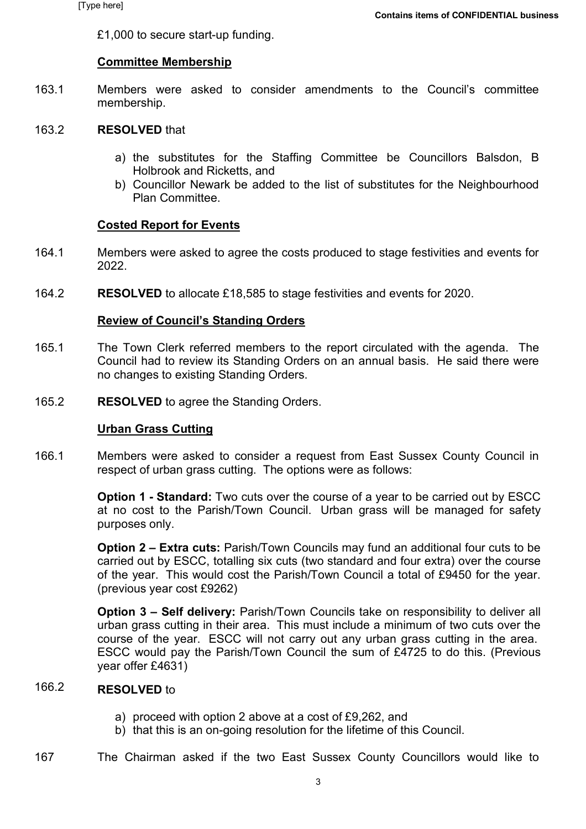£1,000 to secure start-up funding.

### **Committee Membership**

163.1 Members were asked to consider amendments to the Council's committee membership.

#### 163.2 **RESOLVED** that

- a) the substitutes for the Staffing Committee be Councillors Balsdon, B Holbrook and Ricketts, and
- b) Councillor Newark be added to the list of substitutes for the Neighbourhood Plan Committee.

# **Costed Report for Events**

- 164.1 Members were asked to agree the costs produced to stage festivities and events for 2022.
- 164.2 **RESOLVED** to allocate £18,585 to stage festivities and events for 2020.

# **Review of Council's Standing Orders**

- 165.1 The Town Clerk referred members to the report circulated with the agenda. The Council had to review its Standing Orders on an annual basis. He said there were no changes to existing Standing Orders.
- 165.2 **RESOLVED** to agree the Standing Orders.

### **Urban Grass Cutting**

166.1 Members were asked to consider a request from East Sussex County Council in respect of urban grass cutting. The options were as follows:

> **Option 1 - Standard:** Two cuts over the course of a year to be carried out by ESCC at no cost to the Parish/Town Council. Urban grass will be managed for safety purposes only.

> **Option 2 – Extra cuts:** Parish/Town Councils may fund an additional four cuts to be carried out by ESCC, totalling six cuts (two standard and four extra) over the course of the year. This would cost the Parish/Town Council a total of £9450 for the year. (previous year cost £9262)

> **Option 3 – Self delivery:** Parish/Town Councils take on responsibility to deliver all urban grass cutting in their area. This must include a minimum of two cuts over the course of the year. ESCC will not carry out any urban grass cutting in the area. ESCC would pay the Parish/Town Council the sum of £4725 to do this. (Previous year offer £4631)

#### 166.2 **RESOLVED** to

- a) proceed with option 2 above at a cost of £9,262, and
- b) that this is an on-going resolution for the lifetime of this Council.

167 The Chairman asked if the two East Sussex County Councillors would like to